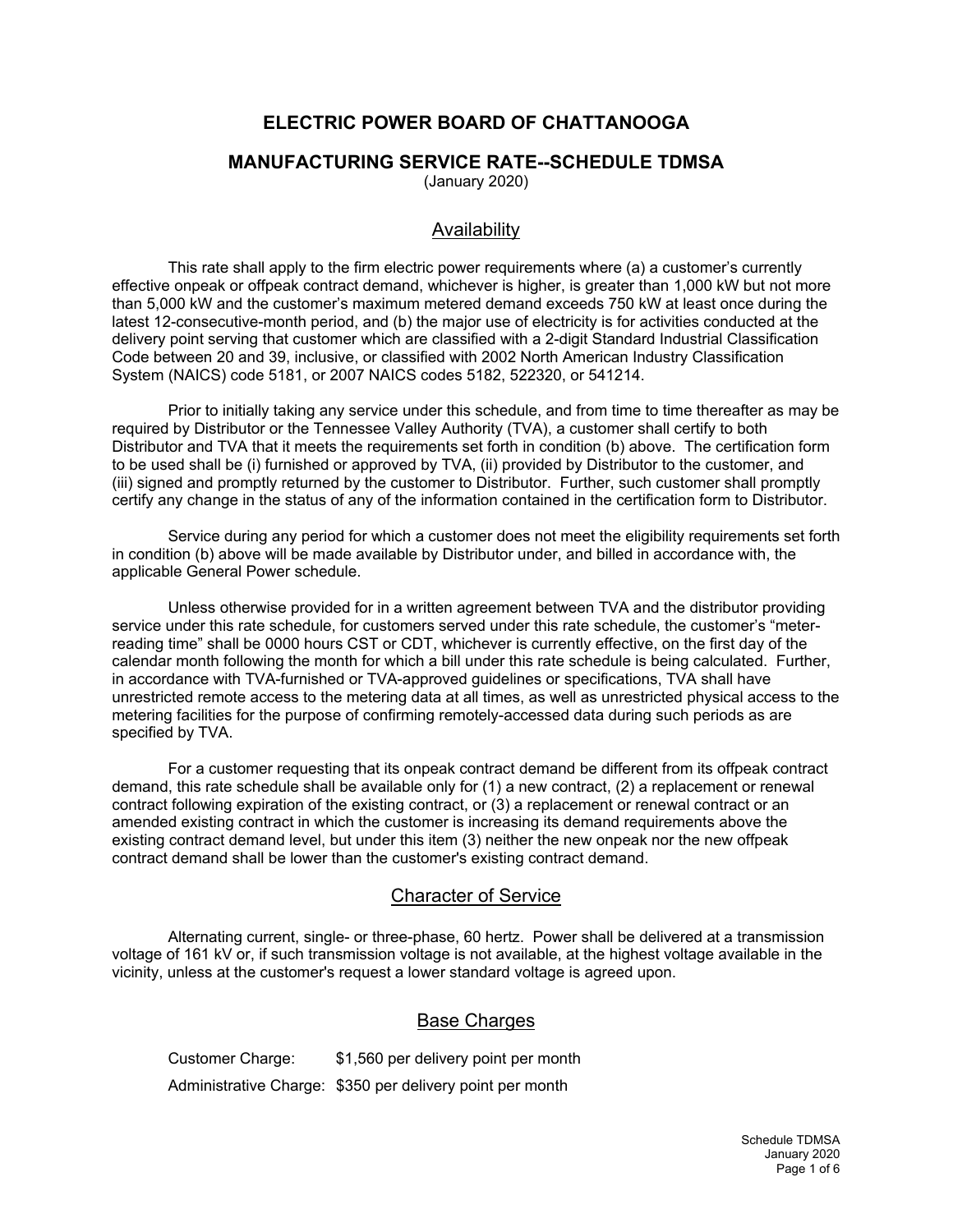# **ELECTRIC POWER BOARD OF CHATTANOOGA**

#### **MANUFACTURING SERVICE RATE--SCHEDULE TDMSA**

(January 2020)

### Availability

This rate shall apply to the firm electric power requirements where (a) a customer's currently effective onpeak or offpeak contract demand, whichever is higher, is greater than 1,000 kW but not more than 5,000 kW and the customer's maximum metered demand exceeds 750 kW at least once during the latest 12-consecutive-month period, and (b) the major use of electricity is for activities conducted at the delivery point serving that customer which are classified with a 2-digit Standard Industrial Classification Code between 20 and 39, inclusive, or classified with 2002 North American Industry Classification System (NAICS) code 5181, or 2007 NAICS codes 5182, 522320, or 541214.

Prior to initially taking any service under this schedule, and from time to time thereafter as may be required by Distributor or the Tennessee Valley Authority (TVA), a customer shall certify to both Distributor and TVA that it meets the requirements set forth in condition (b) above. The certification form to be used shall be (i) furnished or approved by TVA, (ii) provided by Distributor to the customer, and (iii) signed and promptly returned by the customer to Distributor. Further, such customer shall promptly certify any change in the status of any of the information contained in the certification form to Distributor.

Service during any period for which a customer does not meet the eligibility requirements set forth in condition (b) above will be made available by Distributor under, and billed in accordance with, the applicable General Power schedule.

Unless otherwise provided for in a written agreement between TVA and the distributor providing service under this rate schedule, for customers served under this rate schedule, the customer's "meterreading time" shall be 0000 hours CST or CDT, whichever is currently effective, on the first day of the calendar month following the month for which a bill under this rate schedule is being calculated. Further, in accordance with TVA-furnished or TVA-approved guidelines or specifications, TVA shall have unrestricted remote access to the metering data at all times, as well as unrestricted physical access to the metering facilities for the purpose of confirming remotely-accessed data during such periods as are specified by TVA.

For a customer requesting that its onpeak contract demand be different from its offpeak contract demand, this rate schedule shall be available only for (1) a new contract, (2) a replacement or renewal contract following expiration of the existing contract, or (3) a replacement or renewal contract or an amended existing contract in which the customer is increasing its demand requirements above the existing contract demand level, but under this item (3) neither the new onpeak nor the new offpeak contract demand shall be lower than the customer's existing contract demand.

## Character of Service

Alternating current, single- or three-phase, 60 hertz. Power shall be delivered at a transmission voltage of 161 kV or, if such transmission voltage is not available, at the highest voltage available in the vicinity, unless at the customer's request a lower standard voltage is agreed upon.

# **Base Charges**

Customer Charge: \$1,560 per delivery point per month Administrative Charge: \$350 per delivery point per month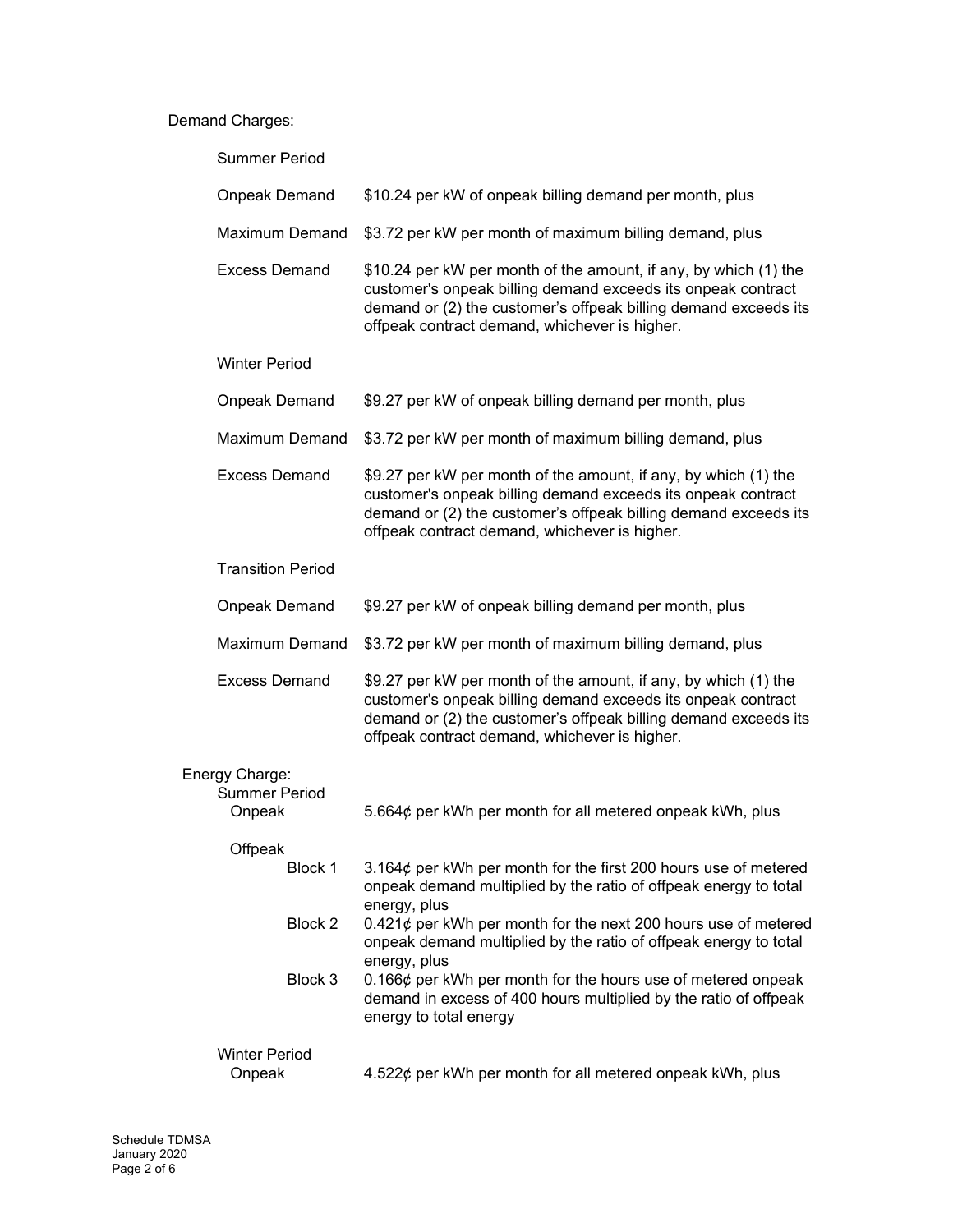#### Demand Charges:

| <b>Summer Period</b>                             |                                                                                                                                                                                                                                                      |
|--------------------------------------------------|------------------------------------------------------------------------------------------------------------------------------------------------------------------------------------------------------------------------------------------------------|
| <b>Onpeak Demand</b>                             | \$10.24 per kW of onpeak billing demand per month, plus                                                                                                                                                                                              |
| <b>Maximum Demand</b>                            | \$3.72 per kW per month of maximum billing demand, plus                                                                                                                                                                                              |
| <b>Excess Demand</b>                             | \$10.24 per kW per month of the amount, if any, by which (1) the<br>customer's onpeak billing demand exceeds its onpeak contract<br>demand or (2) the customer's offpeak billing demand exceeds its<br>offpeak contract demand, whichever is higher. |
| <b>Winter Period</b>                             |                                                                                                                                                                                                                                                      |
| <b>Onpeak Demand</b>                             | \$9.27 per kW of onpeak billing demand per month, plus                                                                                                                                                                                               |
| <b>Maximum Demand</b>                            | \$3.72 per kW per month of maximum billing demand, plus                                                                                                                                                                                              |
| <b>Excess Demand</b>                             | \$9.27 per kW per month of the amount, if any, by which (1) the<br>customer's onpeak billing demand exceeds its onpeak contract<br>demand or (2) the customer's offpeak billing demand exceeds its<br>offpeak contract demand, whichever is higher.  |
| <b>Transition Period</b>                         |                                                                                                                                                                                                                                                      |
| <b>Onpeak Demand</b>                             | \$9.27 per kW of onpeak billing demand per month, plus                                                                                                                                                                                               |
| <b>Maximum Demand</b>                            | \$3.72 per kW per month of maximum billing demand, plus                                                                                                                                                                                              |
| <b>Excess Demand</b>                             | \$9.27 per kW per month of the amount, if any, by which (1) the<br>customer's onpeak billing demand exceeds its onpeak contract<br>demand or (2) the customer's offpeak billing demand exceeds its<br>offpeak contract demand, whichever is higher.  |
| Energy Charge:<br><b>Summer Period</b><br>Onpeak | 5.664¢ per kWh per month for all metered onpeak kWh, plus                                                                                                                                                                                            |
| Offpeak<br>Block 1                               |                                                                                                                                                                                                                                                      |
|                                                  | 3.164¢ per kWh per month for the first 200 hours use of metered<br>onpeak demand multiplied by the ratio of offpeak energy to total                                                                                                                  |
| Block 2                                          | energy, plus<br>$0.421\phi$ per kWh per month for the next 200 hours use of metered<br>onpeak demand multiplied by the ratio of offpeak energy to total<br>energy, plus                                                                              |
| Block 3                                          | 0.166¢ per kWh per month for the hours use of metered onpeak<br>demand in excess of 400 hours multiplied by the ratio of offpeak<br>energy to total energy                                                                                           |
| <b>Winter Period</b>                             |                                                                                                                                                                                                                                                      |
| Onpeak                                           | 4.522¢ per kWh per month for all metered onpeak kWh, plus                                                                                                                                                                                            |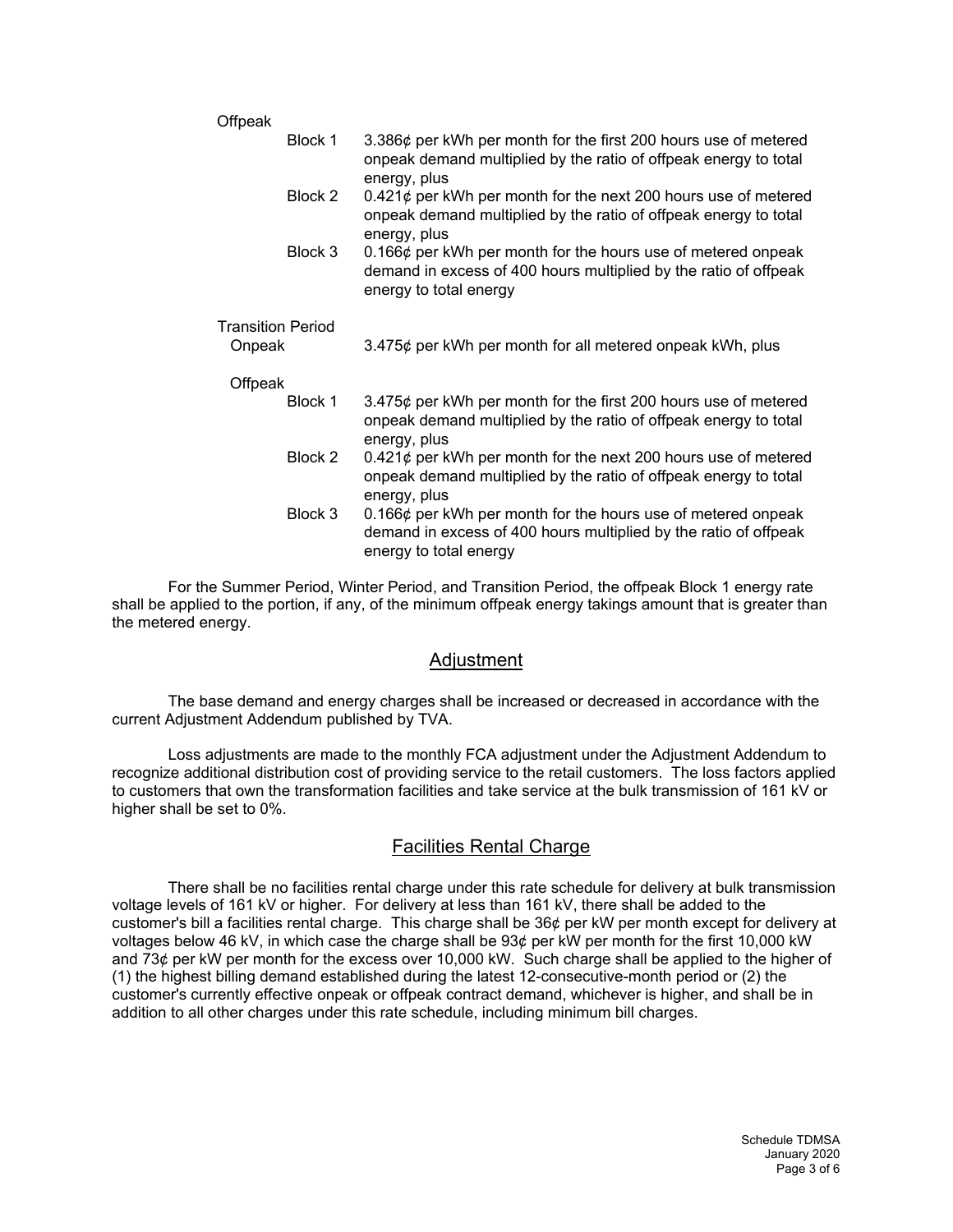| Offpeak                  |         |                                                                                                                                                                  |
|--------------------------|---------|------------------------------------------------------------------------------------------------------------------------------------------------------------------|
|                          | Block 1 | 3.386¢ per kWh per month for the first 200 hours use of metered<br>onpeak demand multiplied by the ratio of offpeak energy to total<br>energy, plus              |
|                          | Block 2 | $0.421\phi$ per kWh per month for the next 200 hours use of metered<br>onpeak demand multiplied by the ratio of offpeak energy to total<br>energy, plus          |
|                          | Block 3 | $0.166\phi$ per kWh per month for the hours use of metered onpeak<br>demand in excess of 400 hours multiplied by the ratio of offpeak<br>energy to total energy  |
| <b>Transition Period</b> |         |                                                                                                                                                                  |
| Onpeak                   |         | 3.475¢ per kWh per month for all metered onpeak kWh, plus                                                                                                        |
| Offpeak                  |         |                                                                                                                                                                  |
|                          | Block 1 | 3.475¢ per kWh per month for the first 200 hours use of metered<br>onpeak demand multiplied by the ratio of offpeak energy to total<br>energy, plus              |
|                          | Block 2 | $0.421\phi$ per kWh per month for the next 200 hours use of metered<br>onpeak demand multiplied by the ratio of offpeak energy to total<br>energy, plus          |
|                          | Block 3 | 0.166 $\phi$ per kWh per month for the hours use of metered onpeak<br>demand in excess of 400 hours multiplied by the ratio of offpeak<br>energy to total energy |

For the Summer Period, Winter Period, and Transition Period, the offpeak Block 1 energy rate shall be applied to the portion, if any, of the minimum offpeak energy takings amount that is greater than the metered energy.

#### Adjustment

The base demand and energy charges shall be increased or decreased in accordance with the current Adjustment Addendum published by TVA.

Loss adjustments are made to the monthly FCA adjustment under the Adjustment Addendum to recognize additional distribution cost of providing service to the retail customers. The loss factors applied to customers that own the transformation facilities and take service at the bulk transmission of 161 kV or higher shall be set to 0%.

## Facilities Rental Charge

There shall be no facilities rental charge under this rate schedule for delivery at bulk transmission voltage levels of 161 kV or higher. For delivery at less than 161 kV, there shall be added to the customer's bill a facilities rental charge. This charge shall be 36¢ per kW per month except for delivery at voltages below 46 kV, in which case the charge shall be 93¢ per kW per month for the first 10,000 kW and 73¢ per kW per month for the excess over 10,000 kW. Such charge shall be applied to the higher of (1) the highest billing demand established during the latest 12-consecutive-month period or (2) the customer's currently effective onpeak or offpeak contract demand, whichever is higher, and shall be in addition to all other charges under this rate schedule, including minimum bill charges.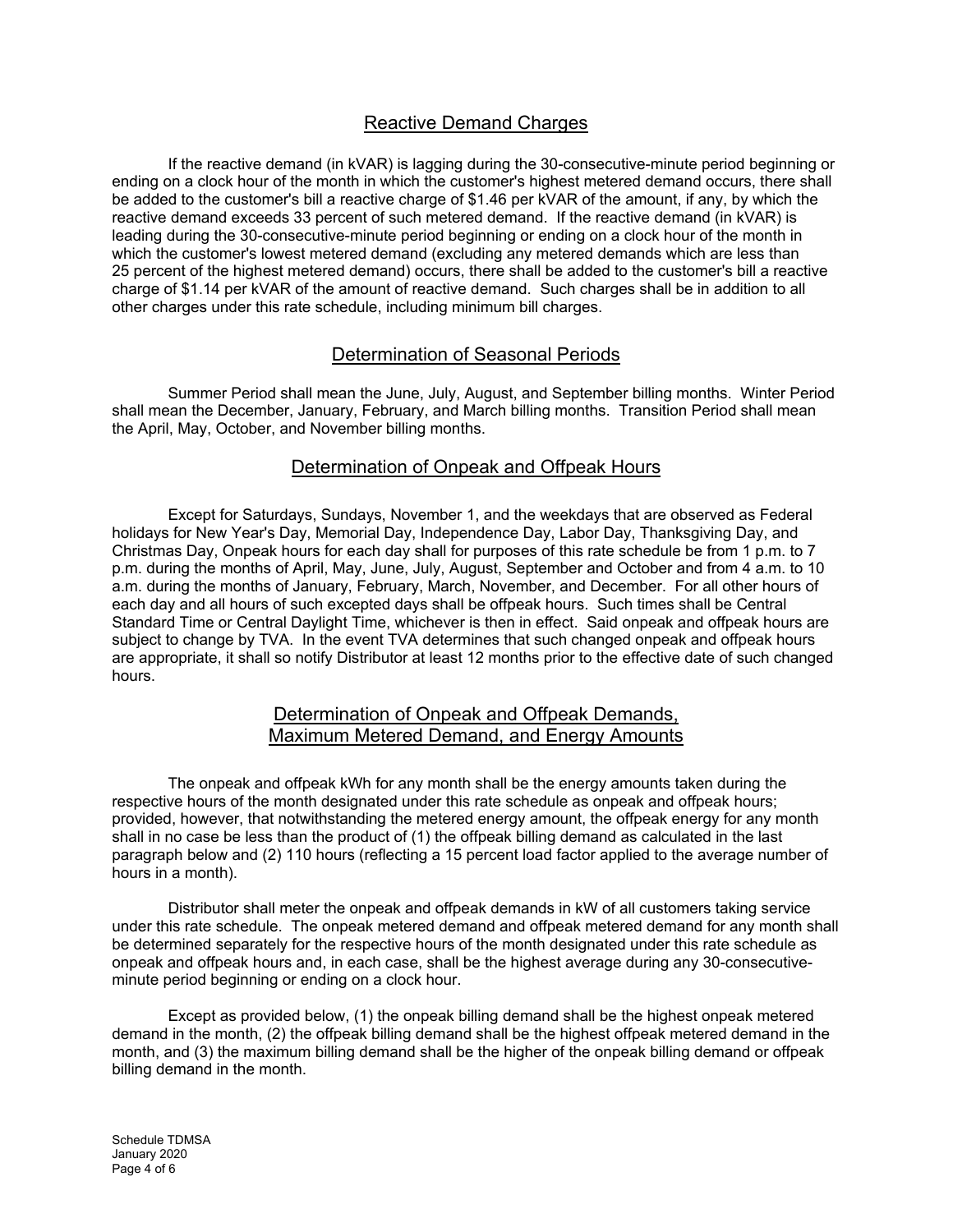## Reactive Demand Charges

If the reactive demand (in kVAR) is lagging during the 30-consecutive-minute period beginning or ending on a clock hour of the month in which the customer's highest metered demand occurs, there shall be added to the customer's bill a reactive charge of \$1.46 per kVAR of the amount, if any, by which the reactive demand exceeds 33 percent of such metered demand. If the reactive demand (in kVAR) is leading during the 30-consecutive-minute period beginning or ending on a clock hour of the month in which the customer's lowest metered demand (excluding any metered demands which are less than 25 percent of the highest metered demand) occurs, there shall be added to the customer's bill a reactive charge of \$1.14 per kVAR of the amount of reactive demand. Such charges shall be in addition to all other charges under this rate schedule, including minimum bill charges.

### Determination of Seasonal Periods

Summer Period shall mean the June, July, August, and September billing months. Winter Period shall mean the December, January, February, and March billing months. Transition Period shall mean the April, May, October, and November billing months.

#### Determination of Onpeak and Offpeak Hours

Except for Saturdays, Sundays, November 1, and the weekdays that are observed as Federal holidays for New Year's Day, Memorial Day, Independence Day, Labor Day, Thanksgiving Day, and Christmas Day, Onpeak hours for each day shall for purposes of this rate schedule be from 1 p.m. to 7 p.m. during the months of April, May, June, July, August, September and October and from 4 a.m. to 10 a.m. during the months of January, February, March, November, and December. For all other hours of each day and all hours of such excepted days shall be offpeak hours. Such times shall be Central Standard Time or Central Daylight Time, whichever is then in effect. Said onpeak and offpeak hours are subject to change by TVA. In the event TVA determines that such changed onpeak and offpeak hours are appropriate, it shall so notify Distributor at least 12 months prior to the effective date of such changed hours.

#### Determination of Onpeak and Offpeak Demands, Maximum Metered Demand, and Energy Amounts

The onpeak and offpeak kWh for any month shall be the energy amounts taken during the respective hours of the month designated under this rate schedule as onpeak and offpeak hours; provided, however, that notwithstanding the metered energy amount, the offpeak energy for any month shall in no case be less than the product of (1) the offpeak billing demand as calculated in the last paragraph below and (2) 110 hours (reflecting a 15 percent load factor applied to the average number of hours in a month).

Distributor shall meter the onpeak and offpeak demands in kW of all customers taking service under this rate schedule. The onpeak metered demand and offpeak metered demand for any month shall be determined separately for the respective hours of the month designated under this rate schedule as onpeak and offpeak hours and, in each case, shall be the highest average during any 30-consecutiveminute period beginning or ending on a clock hour.

Except as provided below, (1) the onpeak billing demand shall be the highest onpeak metered demand in the month, (2) the offpeak billing demand shall be the highest offpeak metered demand in the month, and (3) the maximum billing demand shall be the higher of the onpeak billing demand or offpeak billing demand in the month.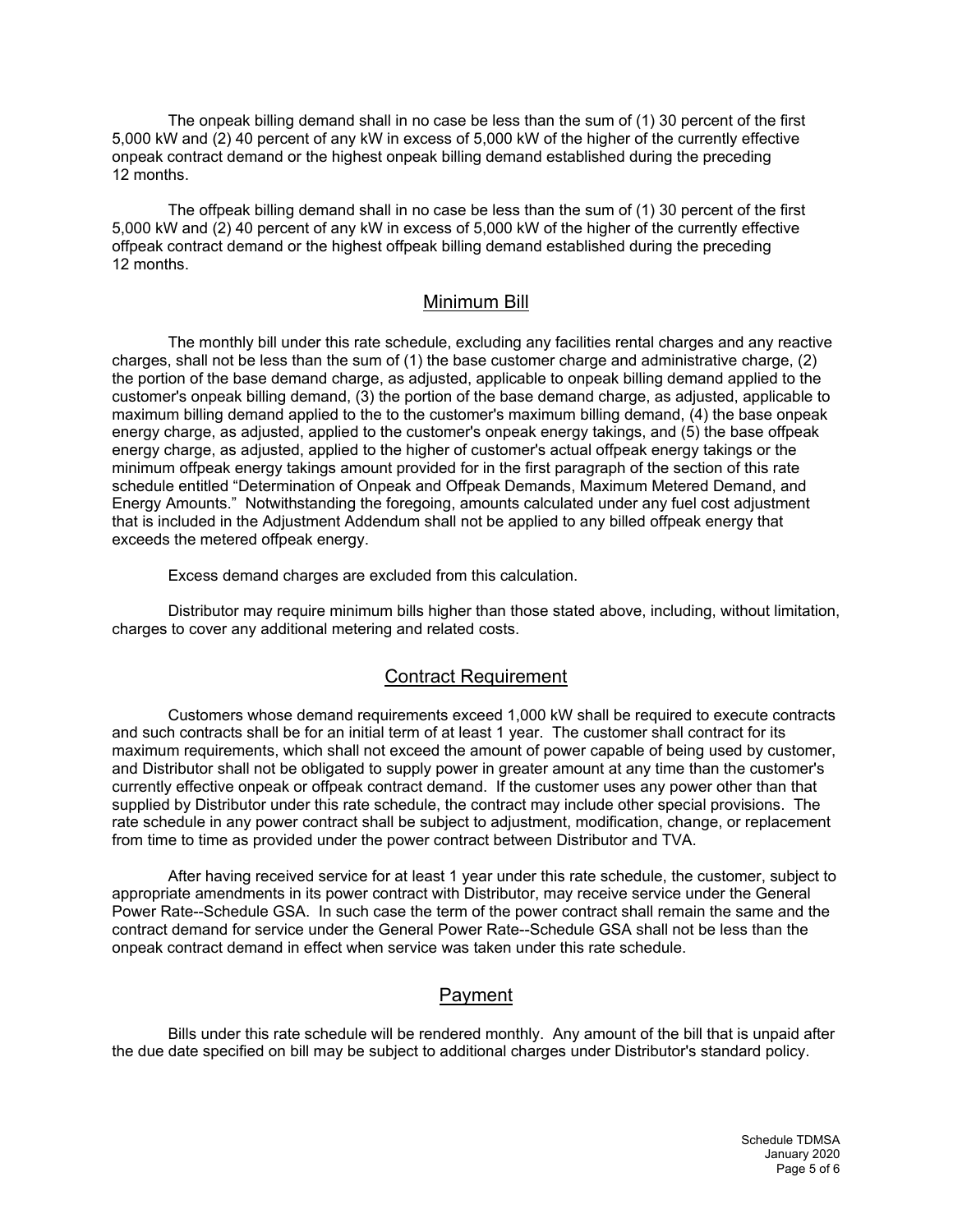The onpeak billing demand shall in no case be less than the sum of (1) 30 percent of the first 5,000 kW and (2) 40 percent of any kW in excess of 5,000 kW of the higher of the currently effective onpeak contract demand or the highest onpeak billing demand established during the preceding 12 months.

The offpeak billing demand shall in no case be less than the sum of (1) 30 percent of the first 5,000 kW and (2) 40 percent of any kW in excess of 5,000 kW of the higher of the currently effective offpeak contract demand or the highest offpeak billing demand established during the preceding 12 months.

#### Minimum Bill

The monthly bill under this rate schedule, excluding any facilities rental charges and any reactive charges, shall not be less than the sum of (1) the base customer charge and administrative charge, (2) the portion of the base demand charge, as adjusted, applicable to onpeak billing demand applied to the customer's onpeak billing demand, (3) the portion of the base demand charge, as adjusted, applicable to maximum billing demand applied to the to the customer's maximum billing demand, (4) the base onpeak energy charge, as adjusted, applied to the customer's onpeak energy takings, and (5) the base offpeak energy charge, as adjusted, applied to the higher of customer's actual offpeak energy takings or the minimum offpeak energy takings amount provided for in the first paragraph of the section of this rate schedule entitled "Determination of Onpeak and Offpeak Demands, Maximum Metered Demand, and Energy Amounts." Notwithstanding the foregoing, amounts calculated under any fuel cost adjustment that is included in the Adjustment Addendum shall not be applied to any billed offpeak energy that exceeds the metered offpeak energy.

Excess demand charges are excluded from this calculation.

Distributor may require minimum bills higher than those stated above, including, without limitation, charges to cover any additional metering and related costs.

#### Contract Requirement

Customers whose demand requirements exceed 1,000 kW shall be required to execute contracts and such contracts shall be for an initial term of at least 1 year. The customer shall contract for its maximum requirements, which shall not exceed the amount of power capable of being used by customer, and Distributor shall not be obligated to supply power in greater amount at any time than the customer's currently effective onpeak or offpeak contract demand. If the customer uses any power other than that supplied by Distributor under this rate schedule, the contract may include other special provisions. The rate schedule in any power contract shall be subject to adjustment, modification, change, or replacement from time to time as provided under the power contract between Distributor and TVA.

After having received service for at least 1 year under this rate schedule, the customer, subject to appropriate amendments in its power contract with Distributor, may receive service under the General Power Rate--Schedule GSA. In such case the term of the power contract shall remain the same and the contract demand for service under the General Power Rate--Schedule GSA shall not be less than the onpeak contract demand in effect when service was taken under this rate schedule.

## Payment

Bills under this rate schedule will be rendered monthly. Any amount of the bill that is unpaid after the due date specified on bill may be subject to additional charges under Distributor's standard policy.